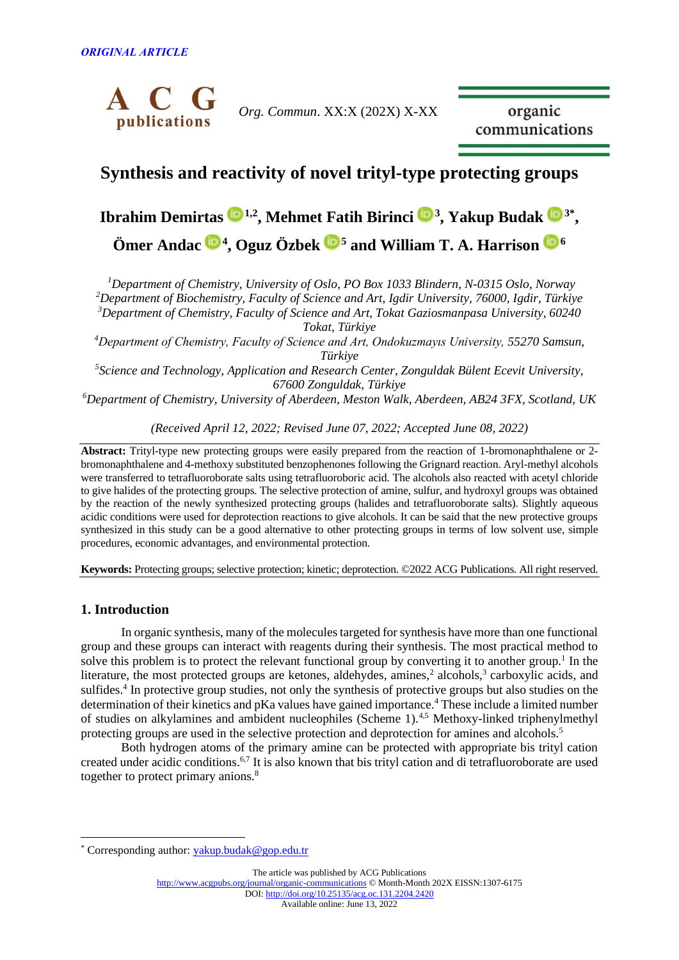

*Org. Commun*. XX:X (202X) X-XX

organic communications

## **Synthesis and reactivity of novel trityl-type protecting groups**

# **Ibrahim Demirtas <sup>([1](https://orcid.org/0000-0001-8946-647X),2</sup>, Mehmet Fatih Birinci <sup>(1,[3](https://orcid.org/0000-0003-1616-052X)</sup>, Yakup Budak <sup>(1,3\*</sup>, Ömer Andac <sup>4</sup> , Oguz Özbek <sup>5</sup> and William T. A. Harrison [6](https://orcid.org/0000-0003-2253-4866)**

*Department of Chemistry, University of Oslo, PO Box 1033 Blindern, N-0315 Oslo, Norway Department of Biochemistry, Faculty of Science and Art, Igdir University, 76000, Igdir, Türkiye Department of Chemistry, Faculty of Science and Art, Tokat Gaziosmanpasa University, 60240 Tokat, Türkiye*

*<sup>4</sup>Department of Chemistry, Faculty of Science and Art, Ondokuzmayıs University, 55270 Samsun, Türkiye*

*5 Science and Technology, Application and Research Center, Zonguldak Bülent Ecevit University, 67600 Zonguldak, Türkiye*

*<sup>6</sup>Department of Chemistry, University of Aberdeen, Meston Walk, Aberdeen, AB24 3FX, Scotland, UK*

*(Received April 12, 2022; Revised June 07, 2022; Accepted June 08, 2022)*

**Abstract:** Trityl-type new protecting groups were easily prepared from the reaction of 1-bromonaphthalene or 2 bromonaphthalene and 4-methoxy substituted benzophenones following the Grignard reaction. Aryl-methyl alcohols were transferred to tetrafluoroborate salts using tetrafluoroboric acid. The alcohols also reacted with acetyl chloride to give halides of the protecting groups. The selective protection of amine, sulfur, and hydroxyl groups was obtained by the reaction of the newly synthesized protecting groups (halides and tetrafluoroborate salts). Slightly aqueous acidic conditions were used for deprotection reactions to give alcohols. It can be said that the new protective groups synthesized in this study can be a good alternative to other protecting groups in terms of low solvent use, simple procedures, economic advantages, and environmental protection.

**Keywords:** Protecting groups; selective protection; kinetic; deprotection. ©2022 ACG Publications. All right reserved.

### **1. Introduction**

In organic synthesis, many of the molecules targeted for synthesis have more than one functional group and these groups can interact with reagents during their synthesis. The most practical method to solve this problem is to protect the relevant functional group by converting it to another group.<sup>1</sup> In the literature, the most protected groups are ketones, aldehydes, amines,<sup>2</sup> alcohols,<sup>3</sup> carboxylic acids, and sulfides.<sup>4</sup> In protective group studies, not only the synthesis of protective groups but also studies on the determination of their kinetics and pKa values have gained importance.<sup>4</sup> These include a limited number of studies on alkylamines and ambident nucleophiles (Scheme 1).4,5 Methoxy-linked triphenylmethyl protecting groups are used in the selective protection and deprotection for amines and alcohols.<sup>5</sup>

Both hydrogen atoms of the primary amine can be protected with appropriate bis trityl cation created under acidic conditions.6,7 It is also known that bis trityl cation and di tetrafluoroborate are used together to protect primary anions.<sup>8</sup>

<sup>\*</sup> Corresponding author: [yakup.budak@gop.edu.tr](mailto:yakup.budak@gop.edu.tr)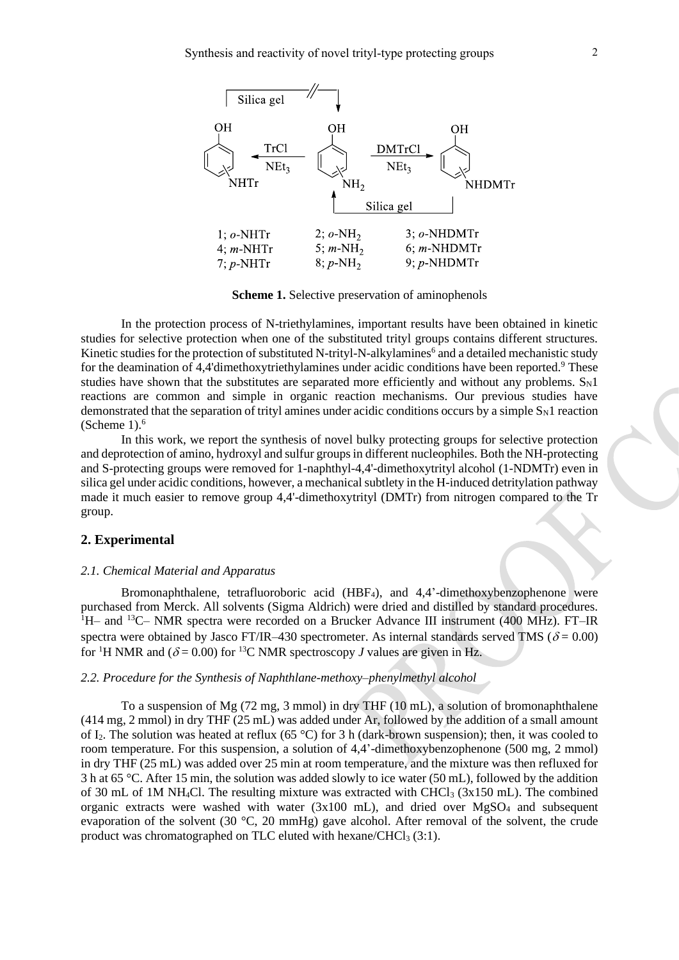

**Scheme 1.** Selective preservation of aminophenols

In the protection process of N-triethylamines, important results have been obtained in kinetic studies for selective protection when one of the substituted trityl groups contains different structures. Kinetic studies for the protection of substituted N-trityl-N-alkylamines<sup>6</sup> and a detailed mechanistic study for the deamination of 4,4'dimethoxytriethylamines under acidic conditions have been reported.<sup>9</sup> These studies have shown that the substitutes are separated more efficiently and without any problems.  $S_N1$ reactions are common and simple in organic reaction mechanisms. Our previous studies have demonstrated that the separation of trityl amines under acidic conditions occurs by a simple  $S_N1$  reaction (Scheme  $1$ ). $<sup>6</sup>$ </sup>

In this work, we report the synthesis of novel bulky protecting groups for selective protection and deprotection of amino, hydroxyl and sulfur groups in different nucleophiles. Both the NH-protecting and S-protecting groups were removed for 1-naphthyl-4,4'-dimethoxytrityl alcohol (1-NDMTr) even in silica gel under acidic conditions, however, a mechanical subtlety in the H-induced detritylation pathway made it much easier to remove group 4,4'-dimethoxytrityl (DMTr) from nitrogen compared to the Tr group.

#### **2. Experimental**

#### *2.1. Chemical Material and Apparatus*

Bromonaphthalene, tetrafluoroboric acid (HBF4), and 4,4'-dimethoxybenzophenone were purchased from Merck. All solvents (Sigma Aldrich) were dried and distilled by standard procedures.  $1H$ – and  $13C$ – NMR spectra were recorded on a Brucker Advance III instrument (400 MHz). FT–IR spectra were obtained by Jasco FT/IR–430 spectrometer. As internal standards served TMS ( $\delta$  = 0.00) for <sup>1</sup>H NMR and ( $\delta$  = 0.00) for <sup>13</sup>C NMR spectroscopy *J* values are given in Hz.

#### *2.2. Procedure for the Synthesis of Naphthlane-methoxy–phenylmethyl alcohol*

To a suspension of Mg (72 mg, 3 mmol) in dry THF (10 mL), a solution of bromonaphthalene (414 mg, 2 mmol) in dry THF (25 mL) was added under Ar, followed by the addition of a small amount of I2. The solution was heated at reflux (65 °C) for 3 h (dark-brown suspension); then, it was cooled to room temperature. For this suspension, a solution of 4,4'-dimethoxybenzophenone (500 mg, 2 mmol) in dry THF (25 mL) was added over 25 min at room temperature, and the mixture was then refluxed for 3 h at 65 °C. After 15 min, the solution was added slowly to ice water (50 mL), followed by the addition of 30 mL of 1M NH<sub>4</sub>Cl. The resulting mixture was extracted with CHCl<sub>3</sub> (3x150 mL). The combined organic extracts were washed with water  $(3x100 \text{ mL})$ , and dried over MgSO<sub>4</sub> and subsequent evaporation of the solvent (30 °C, 20 mmHg) gave alcohol. After removal of the solvent, the crude product was chromatographed on TLC eluted with hexane/CHCl<sub>3</sub> (3:1).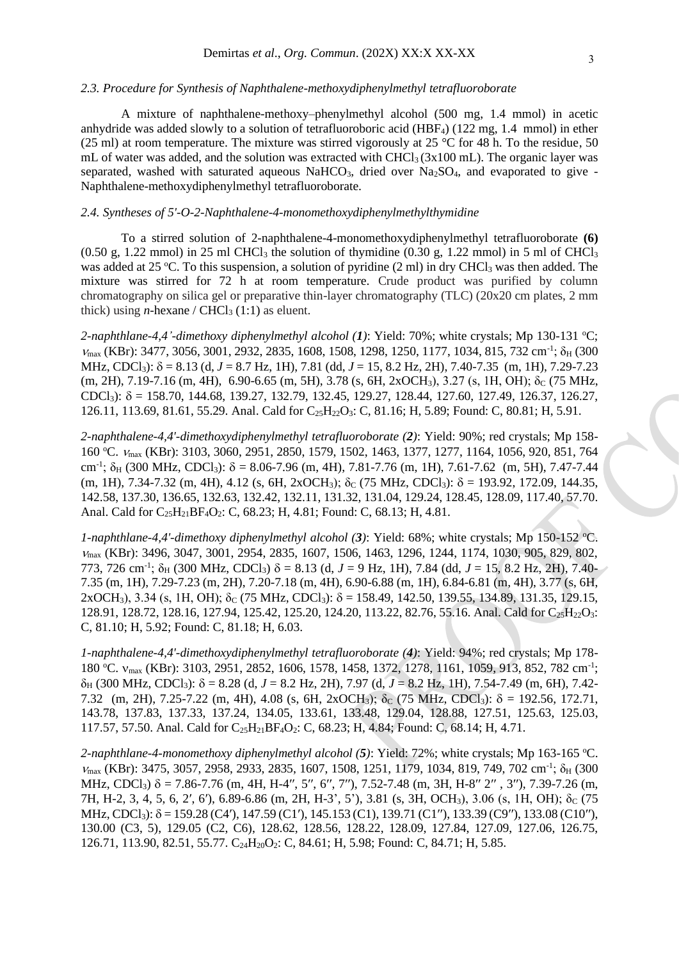#### *2.3. Procedure for Synthesis of Naphthalene-methoxydiphenylmethyl tetrafluoroborate*

A mixture of naphthalene-methoxy–phenylmethyl alcohol (500 mg, 1.4 mmol) in acetic anhydride was added slowly to a solution of tetrafluoroboric acid (HBF4) (122 mg, 1.4 mmol) in ether (25 ml) at room temperature. The mixture was stirred vigorously at 25 °C for 48 h. To the residue, 50 mL of water was added, and the solution was extracted with  $CHCl<sub>3</sub>(3x100$  mL). The organic layer was separated, washed with saturated aqueous  $NaHCO<sub>3</sub>$ , dried over  $Na<sub>2</sub>SO<sub>4</sub>$ , and evaporated to give -Naphthalene-methoxydiphenylmethyl tetrafluoroborate.

#### *2.4. Syntheses of 5'-O-2-Naphthalene-4-monomethoxydiphenylmethylthymidine*

To a stirred solution of 2-naphthalene-4-monomethoxydiphenylmethyl tetrafluoroborate **(6)**  $(0.50 \text{ g}, 1.22 \text{ mmol})$  in 25 ml CHCl<sub>3</sub> the solution of thymidine  $(0.30 \text{ g}, 1.22 \text{ mmol})$  in 5 ml of CHCl<sub>3</sub> was added at 25 °C. To this suspension, a solution of pyridine  $(2 \text{ ml})$  in dry CHCl<sub>3</sub> was then added. The mixture was stirred for 72 h at room temperature. Crude product was purified by column chromatography on silica gel or preparative thin-layer chromatography (TLC) (20x20 cm plates, 2 mm thick) using *n*-hexane /  $CHCl<sub>3</sub>(1:1)$  as eluent.

*2-naphthlane-4,4'-dimethoxy diphenylmethyl alcohol (1)*: Yield: 70%; white crystals; Mp 130-131 <sup>o</sup>C;  $V_{\text{max}}$  (KBr): 3477, 3056, 3001, 2932, 2835, 1608, 1508, 1298, 1250, 1177, 1034, 815, 732 cm<sup>-1</sup>;  $\delta_{\text{H}}$  (300 MHz, CDCl3): = 8.13 (d, *J* = 8.7 Hz, 1H), 7.81 (dd, *J* = 15, 8.2 Hz, 2H), 7.40-7.35 (m, 1H), 7.29-7.23 (m, 2H), 7.19-7.16 (m, 4H), 6.90-6.65 (m, 5H), 3.78 (s, 6H, 2xOCH<sub>3</sub>), 3.27 (s, 1H, OH);  $\delta$ <sub>C</sub> (75 MHz, CDCl<sub>3</sub>):  $\delta = 158.70, 144.68, 139.27, 132.79, 132.45, 129.27, 128.44, 127.60, 127.49, 126.37, 126.27,$ 126.11, 113.69, 81.61, 55.29. Anal. Cald for C<sub>25</sub>H<sub>22</sub>O<sub>3</sub>: C, 81.16; H, 5.89; Found: C, 80.81; H, 5.91.

*2-naphthalene-4,4'-dimethoxydiphenylmethyl tetrafluoroborate (2)*: Yield: 90%; red crystals; Mp 158- 160 °C.  $V_{\text{max}}$  (KBr): 3103, 3060, 2951, 2850, 1579, 1502, 1463, 1377, 1277, 1164, 1056, 920, 851, 764 cm<sup>-1</sup>;  $\delta_H$  (300 MHz, CDCl<sub>3</sub>):  $\delta = 8.06$ -7.96 (m, 4H), 7.81-7.76 (m, 1H), 7.61-7.62 (m, 5H), 7.47-7.44 (m, 1H), 7.34-7.32 (m, 4H), 4.12 (s, 6H, 2xOCH<sub>3</sub>);  $\delta_C$  (75 MHz, CDCl<sub>3</sub>):  $\delta = 193.92, 172.09, 144.35,$ 142.58, 137.30, 136.65, 132.63, 132.42, 132.11, 131.32, 131.04, 129.24, 128.45, 128.09, 117.40, 57.70. Anal. Cald for C<sub>25</sub>H<sub>21</sub>BF<sub>4</sub>O<sub>2</sub>: C, 68.23; H, 4.81; Found: C, 68.13; H, 4.81.

*1-naphthlane-4,4'-dimethoxy diphenylmethyl alcohol (3)*: Yield: 68%; white crystals; Mp 150-152 <sup>o</sup>C. max (KBr): 3496, 3047, 3001, 2954, 2835, 1607, 1506, 1463, 1296, 1244, 1174, 1030, 905, 829, 802, 773, 726 cm<sup>-1</sup>;  $\delta_H$  (300 MHz, CDCl<sub>3</sub>)  $\delta = 8.13$  (d,  $J = 9$  Hz, 1H), 7.84 (dd,  $J = 15$ , 8.2 Hz, 2H), 7.40-7.35 (m, 1H), 7.29-7.23 (m, 2H), 7.20-7.18 (m, 4H), 6.90-6.88 (m, 1H), 6.84-6.81 (m, 4H), 3.77 (s, 6H,  $2xOCH_3$ ), 3.34 (s, 1H, OH); δ<sub>C</sub> (75 MHz, CDCl<sub>3</sub>):  $\delta = 158.49$ , 142.50, 139.55, 134.89, 131.35, 129.15, 128.91, 128.72, 128.16, 127.94, 125.42, 125.20, 124.20, 113.22, 82.76, 55.16. Anal. Cald for C<sub>25</sub>H<sub>22</sub>O<sub>3</sub>: C, 81.10; H, 5.92; Found: C, 81.18; H, 6.03.

*1-naphthalene-4,4'-dimethoxydiphenylmethyl tetrafluoroborate (4)*: Yield: 94%; red crystals; Mp 178- 180 °C. v<sub>max</sub> (KBr): 3103, 2951, 2852, 1606, 1578, 1458, 1372, 1278, 1161, 1059, 913, 852, 782 cm<sup>-1</sup>;  $\delta_H$  (300 MHz, CDCl<sub>3</sub>):  $\delta = 8.28$  (d,  $J = 8.2$  Hz, 2H), 7.97 (d,  $J = 8.2$  Hz, 1H), 7.54-7.49 (m, 6H), 7.42-7.32 (m, 2H), 7.25-7.22 (m, 4H), 4.08 (s, 6H, 2xOCH<sub>3</sub>);  $\delta$ <sub>C</sub> (75 MHz, CDCl<sub>3</sub>):  $\delta$  = 192.56, 172.71, 143.78, 137.83, 137.33, 137.24, 134.05, 133.61, 133.48, 129.04, 128.88, 127.51, 125.63, 125.03, 117.57, 57.50. Anal. Cald for C<sub>25</sub>H<sub>21</sub>BF<sub>4</sub>O<sub>2</sub>: C, 68.23; H, 4.84; Found: C, 68.14; H, 4.71.

*2-naphthlane-4-monomethoxy diphenylmethyl alcohol (5)*: Yield: 72%; white crystals; Mp 163-165 <sup>o</sup>C.  $V_{\text{max}}$  (KBr): 3475, 3057, 2958, 2933, 2835, 1607, 1508, 1251, 1179, 1034, 819, 749, 702 cm<sup>-1</sup>;  $\delta_{\text{H}}$  (300 MHz, CDCl<sub>3</sub>)  $\delta$  = 7.86-7.76 (m, 4H, H-4'', 5'', 6'', 7''), 7.52-7.48 (m, 3H, H-8'' 2'', 3''), 7.39-7.26 (m, 7H, H-2, 3, 4, 5, 6, 2', 6'), 6.89-6.86 (m, 2H, H-3', 5'), 3.81 (s, 3H, OCH<sub>3</sub>), 3.06 (s, 1H, OH); δ<sub>C</sub> (75 MHz, CDCl<sub>3</sub>):  $\delta$  = 159.28 (C4'), 147.59 (C1'), 145.153 (C1), 139.71 (C1''), 133.39 (C9''), 133.08 (C10''), 130.00 (C3, 5), 129.05 (C2, C6), 128.62, 128.56, 128.22, 128.09, 127.84, 127.09, 127.06, 126.75, 126.71, 113.90, 82.51, 55.77. C<sub>24</sub>H<sub>20</sub>O<sub>2</sub>: C, 84.61; H, 5.98; Found: C, 84.71; H, 5.85.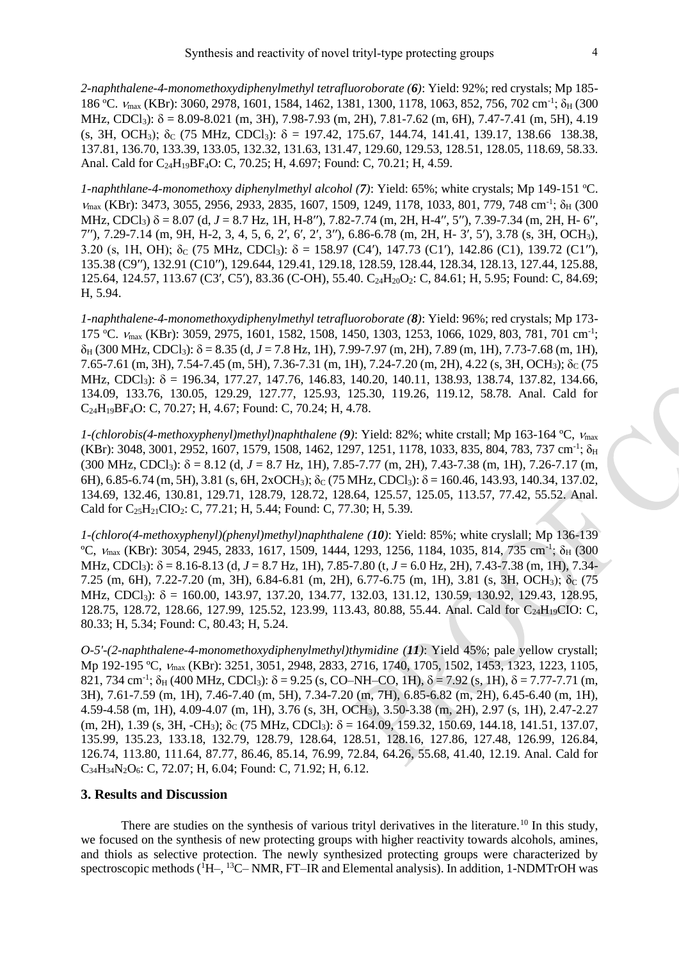*2-naphthalene-4-monomethoxydiphenylmethyl tetrafluoroborate (6)*: Yield: 92%; red crystals; Mp 185- 186 °C.  $V_{\text{max}}$  (KBr): 3060, 2978, 1601, 1584, 1462, 1381, 1300, 1178, 1063, 852, 756, 702 cm<sup>-1</sup>; δ<sub>H</sub> (300 MHz, CDCl<sub>3</sub>):  $\delta = 8.09 - 8.021$  (m, 3H), 7.98-7.93 (m, 2H), 7.81-7.62 (m, 6H), 7.47-7.41 (m, 5H), 4.19 (s, 3H, OCH<sub>3</sub>);  $\delta_c$  (75 MHz, CDCl<sub>3</sub>);  $\delta = 197.42, 175.67, 144.74, 141.41, 139.17, 138.66, 138.38,$ 137.81, 136.70, 133.39, 133.05, 132.32, 131.63, 131.47, 129.60, 129.53, 128.51, 128.05, 118.69, 58.33. Anal. Cald for C<sub>24</sub>H<sub>19</sub>BF<sub>4</sub>O: C, 70.25; H, 4.697; Found: C, 70.21; H, 4.59.

*1-naphthlane-4-monomethoxy diphenylmethyl alcohol* (7): Yield: 65%; white crystals; Mp 149-151 °C.  $V_{\text{max}}$  (KBr): 3473, 3055, 2956, 2933, 2835, 1607, 1509, 1249, 1178, 1033, 801, 779, 748 cm<sup>-1</sup>;  $\delta_{\text{H}}$  (300 MHz, CDCl3) = 8.07 (d, *J* = 8.7 Hz, 1H, H-8ʹʹ), 7.82-7.74 (m, 2H, H-4ʹʹ, 5ʹʹ), 7.39-7.34 (m, 2H, H- 6ʹʹ, 7ʹʹ), 7.29-7.14 (m, 9H, H-2, 3, 4, 5, 6, 2ʹ, 6ʹ, 2ʹ, 3ʹʹ), 6.86-6.78 (m, 2H, H- 3ʹ, 5ʹ), 3.78 (s, 3H, OCH3), 3.20 (s, 1H, OH);  $\delta_c$  (75 MHz, CDCl<sub>3</sub>):  $\delta = 158.97$  (C4'), 147.73 (C1'), 142.86 (C1), 139.72 (C1''), 135.38 (C9ʹʹ), 132.91 (C10ʹʹ), 129.644, 129.41, 129.18, 128.59, 128.44, 128.34, 128.13, 127.44, 125.88, 125.64, 124.57, 113.67 (C3', C5'), 83.36 (C-OH), 55.40. C<sub>24</sub>H<sub>20</sub>O<sub>2</sub>: C, 84.61; H, 5.95; Found: C, 84.69; H, 5.94.

*1-naphthalene-4-monomethoxydiphenylmethyl tetrafluoroborate (8)*: Yield: 96%; red crystals; Mp 173- 175 °C.  $V_{\text{max}}$  (KBr): 3059, 2975, 1601, 1582, 1508, 1450, 1303, 1253, 1066, 1029, 803, 781, 701 cm<sup>-1</sup>;  $\delta_H$  (300 MHz, CDCl<sub>3</sub>):  $\delta$  = 8.35 (d, *J* = 7.8 Hz, 1H), 7.99-7.97 (m, 2H), 7.89 (m, 1H), 7.73-7.68 (m, 1H),  $7.65-7.61$  (m, 3H),  $7.54-7.45$  (m, 5H),  $7.36-7.31$  (m, 1H),  $7.24-7.20$  (m, 2H),  $4.22$  (s, 3H, OCH<sub>3</sub>);  $\delta_C$  (75 MHz, CDCl<sub>3</sub>): δ = 196.34, 177.27, 147.76, 146.83, 140.20, 140.11, 138.93, 138.74, 137.82, 134.66, 134.09, 133.76, 130.05, 129.29, 127.77, 125.93, 125.30, 119.26, 119.12, 58.78. Anal. Cald for C24H19BF4O: C, 70.27; H, 4.67; Found: C, 70.24; H, 4.78.

*1-(chlorobis(4-methoxyphenyl)methyl)naphthalene (9)*: Yield: 82%; white crstall; Mp 163-164 ºC, max  $(KBr): 3048, 3001, 2952, 1607, 1579, 1508, 1462, 1297, 1251, 1178, 1033, 835, 804, 783, 737 cm<sup>-1</sup>; \delta<sub>H</sub>$  $(300 \text{ MHz}, \text{CDCl}_3)$ :  $\delta = 8.12$  (d,  $J = 8.7$  Hz, 1H), 7.85-7.77 (m, 2H), 7.43-7.38 (m, 1H), 7.26-7.17 (m, 6H), 6.85-6.74 (m, 5H), 3.81 (s, 6H, 2xOCH<sub>3</sub>);  $\delta$  (75 MHz, CDCl<sub>3</sub>);  $\delta$  = 160.46, 143.93, 140.34, 137.02, 134.69, 132.46, 130.81, 129.71, 128.79, 128.72, 128.64, 125.57, 125.05, 113.57, 77.42, 55.52. Anal. Cald for C<sub>25</sub>H<sub>21</sub>CIO<sub>2</sub>: C, 77.21; H, 5.44; Found: C, 77.30; H, 5.39.

*1-(chloro(4-methoxyphenyl)(phenyl)methyl)naphthalene (10)*: Yield: 85%; white cryslall; Mp 136-139  $^{\circ}$ C,  $V_{\text{max}}$  (KBr): 3054, 2945, 2833, 1617, 1509, 1444, 1293, 1256, 1184, 1035, 814, 735 cm<sup>-1</sup>;  $\delta_{\text{H}}$  (300 MHz, CDCl3): = 8.16-8.13 (d, *J* = 8.7 Hz, 1H), 7.85-7.80 (t, *J* = 6.0 Hz, 2H), 7.43-7.38 (m, 1H), 7.34- 7.25 (m, 6H), 7.22-7.20 (m, 3H), 6.84-6.81 (m, 2H), 6.77-6.75 (m, 1H), 3.81 (s, 3H, OCH<sub>3</sub>);  $\delta_c$  (75 MHz, CDCl<sub>3</sub>): δ = 160.00, 143.97, 137.20, 134.77, 132.03, 131.12, 130.59, 130.92, 129.43, 128.95, 128.75, 128.72, 128.66, 127.99, 125.52, 123.99, 113.43, 80.88, 55.44. Anal. Cald for C<sub>24</sub>H<sub>19</sub>CIO: C, 80.33; H, 5.34; Found: C, 80.43; H, 5.24.

*O-5'-(2-naphthalene-4-monomethoxydiphenylmethyl)thymidine (11)*: Yield 45%; pale yellow crystall; Mp 192-195 °C,  $v_{\text{max}}$  (KBr): 3251, 3051, 2948, 2833, 2716, 1740, 1705, 1502, 1453, 1323, 1223, 1105, 821, 734 cm<sup>-1</sup>;  $\delta_H$  (400 MHz, CDCl<sub>3</sub>):  $\delta = 9.25$  (s, CO–NH–CO, 1H),  $\delta = 7.92$  (s, 1H),  $\delta = 7.77$ -7.71 (m, 3H), 7.61-7.59 (m, 1H), 7.46-7.40 (m, 5H), 7.34-7.20 (m, 7H), 6.85-6.82 (m, 2H), 6.45-6.40 (m, 1H), 4.59-4.58 (m, 1H), 4.09-4.07 (m, 1H), 3.76 (s, 3H, OCH3), 3.50-3.38 (m, 2H), 2.97 (s, 1H), 2.47-2.27  $(m, 2H), 1.39$  (s, 3H, -CH<sub>3</sub>);  $\delta$ <sub>C</sub> (75 MHz, CDCl<sub>3</sub>):  $\delta$  = 164.09, 159.32, 150.69, 144.18, 141.51, 137.07, 135.99, 135.23, 133.18, 132.79, 128.79, 128.64, 128.51, 128.16, 127.86, 127.48, 126.99, 126.84, 126.74, 113.80, 111.64, 87.77, 86.46, 85.14, 76.99, 72.84, 64.26, 55.68, 41.40, 12.19. Anal. Cald for C34H34N2O6: C, 72.07; H, 6.04; Found: C, 71.92; H, 6.12.

#### **3. Results and Discussion**

There are studies on the synthesis of various trityl derivatives in the literature.<sup>10</sup> In this study, we focused on the synthesis of new protecting groups with higher reactivity towards alcohols, amines, and thiols as selective protection. The newly synthesized protecting groups were characterized by spectroscopic methods (<sup>1</sup>H-, <sup>13</sup>C-NMR, FT-IR and Elemental analysis). In addition, 1-NDMTrOH was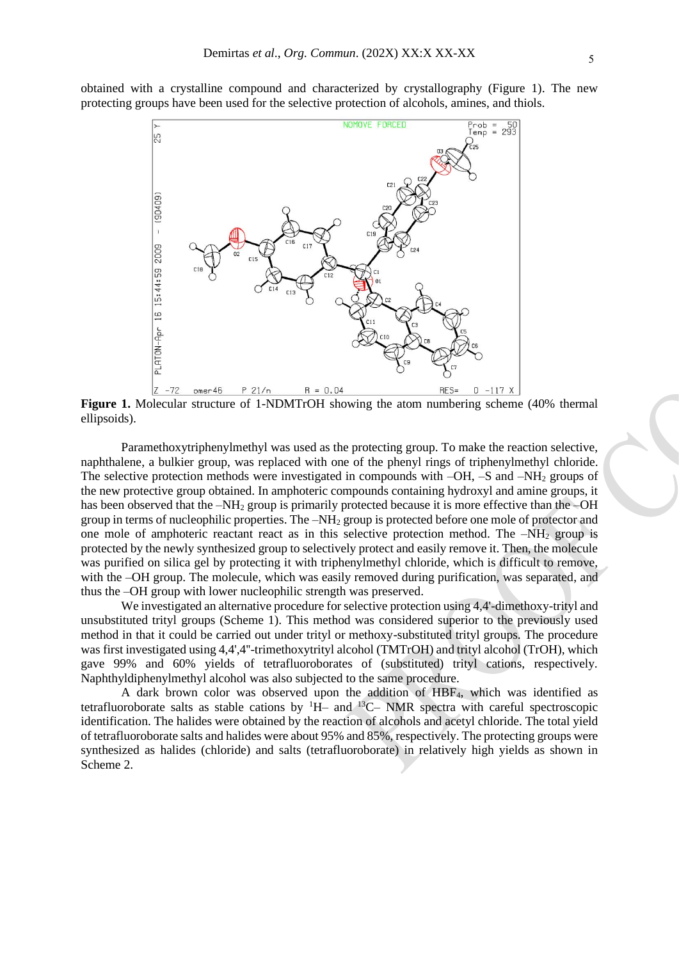obtained with a crystalline compound and characterized by crystallography (Figure 1). The new protecting groups have been used for the selective protection of alcohols, amines, and thiols.



**Figure 1.** Molecular structure of 1-NDMTrOH showing the atom numbering scheme (40% thermal ellipsoids).

Paramethoxytriphenylmethyl was used as the protecting group. To make the reaction selective, naphthalene, a bulkier group, was replaced with one of the phenyl rings of triphenylmethyl chloride. The selective protection methods were investigated in compounds with  $-OH$ ,  $-S$  and  $-NH<sub>2</sub>$  groups of the new protective group obtained. In amphoteric compounds containing hydroxyl and amine groups, it has been observed that the  $-NH_2$  group is primarily protected because it is more effective than the  $-OH$ group in terms of nucleophilic properties. The  $-NH<sub>2</sub>$  group is protected before one mole of protector and one mole of amphoteric reactant react as in this selective protection method. The  $-NH<sub>2</sub>$  group is protected by the newly synthesized group to selectively protect and easily remove it. Then, the molecule was purified on silica gel by protecting it with triphenylmethyl chloride, which is difficult to remove, with the –OH group. The molecule, which was easily removed during purification, was separated, and thus the –OH group with lower nucleophilic strength was preserved.

We investigated an alternative procedure for selective protection using 4,4'-dimethoxy-trityl and unsubstituted trityl groups (Scheme 1). This method was considered superior to the previously used method in that it could be carried out under trityl or methoxy-substituted trityl groups. The procedure was first investigated using 4,4',4''-trimethoxytrityl alcohol (TMTrOH) and trityl alcohol (TrOH), which gave 99% and 60% yields of tetrafluoroborates of (substituted) trityl cations, respectively. Naphthyldiphenylmethyl alcohol was also subjected to the same procedure.

A dark brown color was observed upon the addition of HBF4, which was identified as tetrafluoroborate salts as stable cations by  ${}^{1}H_{-}$  and  ${}^{13}C_{-}$  NMR spectra with careful spectroscopic identification. The halides were obtained by the reaction of alcohols and acetyl chloride. The total yield of tetrafluoroborate salts and halides were about 95% and 85%, respectively. The protecting groups were synthesized as halides (chloride) and salts (tetrafluoroborate) in relatively high yields as shown in Scheme 2.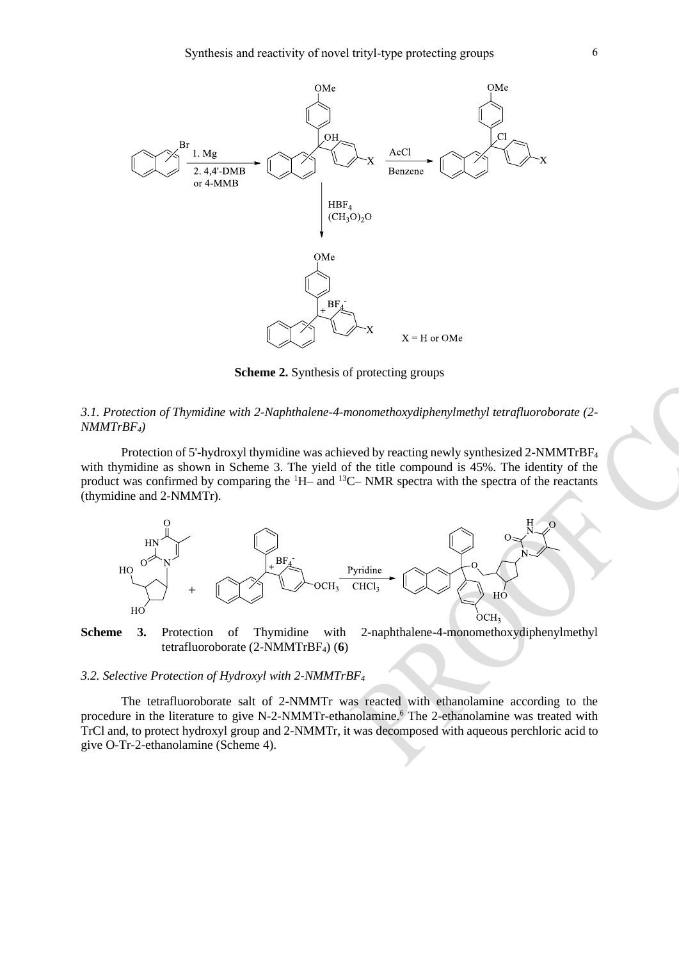

**Scheme 2.** Synthesis of protecting groups

#### *3.1. Protection of Thymidine with 2-Naphthalene-4-monomethoxydiphenylmethyl tetrafluoroborate (2- NMMTrBF4)*

Protection of 5'-hydroxyl thymidine was achieved by reacting newly synthesized 2-NMMTrBF<sup>4</sup> with thymidine as shown in Scheme 3. The yield of the title compound is 45%. The identity of the product was confirmed by comparing the  $H$ – and  $H$ <sup>13</sup>C– NMR spectra with the spectra of the reactants (thymidine and 2-NMMTr).



**Scheme 3.** Protection of Thymidine with 2-naphthalene-4-monomethoxydiphenylmethyl tetrafluoroborate (2-NMMTrBF4) (**6**)

#### *3.2. Selective Protection of Hydroxyl with 2-NMMTrBF<sup>4</sup>*

The tetrafluoroborate salt of 2-NMMTr was reacted with ethanolamine according to the procedure in the literature to give N-2-NMMTr-ethanolamine.<sup>6</sup> The 2-ethanolamine was treated with TrCl and, to protect hydroxyl group and 2-NMMTr, it was decomposed with aqueous perchloric acid to give O-Tr-2-ethanolamine (Scheme 4).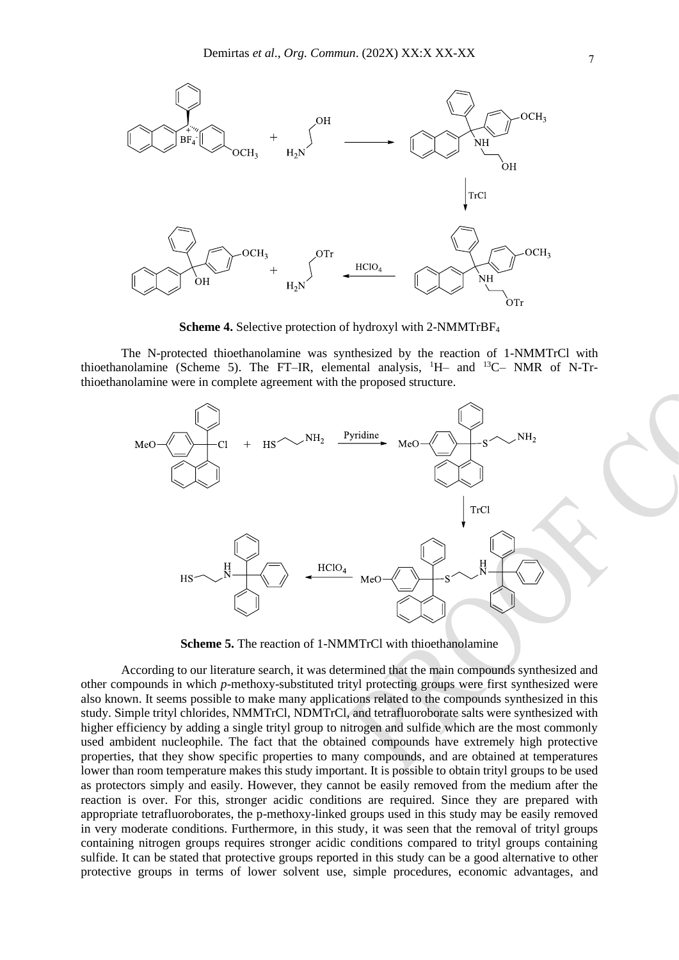

**Scheme 4.** Selective protection of hydroxyl with 2-NMMTrBF<sup>4</sup>

The N-protected thioethanolamine was synthesized by the reaction of 1-NMMTrCl with thioethanolamine (Scheme 5). The FT–IR, elemental analysis, <sup>1</sup>H– and <sup>13</sup>C– NMR of N-Trthioethanolamine were in complete agreement with the proposed structure.



**Scheme 5.** The reaction of 1-NMMTrCl with thioethanolamine

According to our literature search, it was determined that the main compounds synthesized and other compounds in which *p*-methoxy-substituted trityl protecting groups were first synthesized were also known. It seems possible to make many applications related to the compounds synthesized in this study. Simple trityl chlorides, NMMTrCl, NDMTrCl, and tetrafluoroborate salts were synthesized with higher efficiency by adding a single trityl group to nitrogen and sulfide which are the most commonly used ambident nucleophile. The fact that the obtained compounds have extremely high protective properties, that they show specific properties to many compounds, and are obtained at temperatures lower than room temperature makes this study important. It is possible to obtain trityl groups to be used as protectors simply and easily. However, they cannot be easily removed from the medium after the reaction is over. For this, stronger acidic conditions are required. Since they are prepared with appropriate tetrafluoroborates, the p-methoxy-linked groups used in this study may be easily removed in very moderate conditions. Furthermore, in this study, it was seen that the removal of trityl groups containing nitrogen groups requires stronger acidic conditions compared to trityl groups containing sulfide. It can be stated that protective groups reported in this study can be a good alternative to other protective groups in terms of lower solvent use, simple procedures, economic advantages, and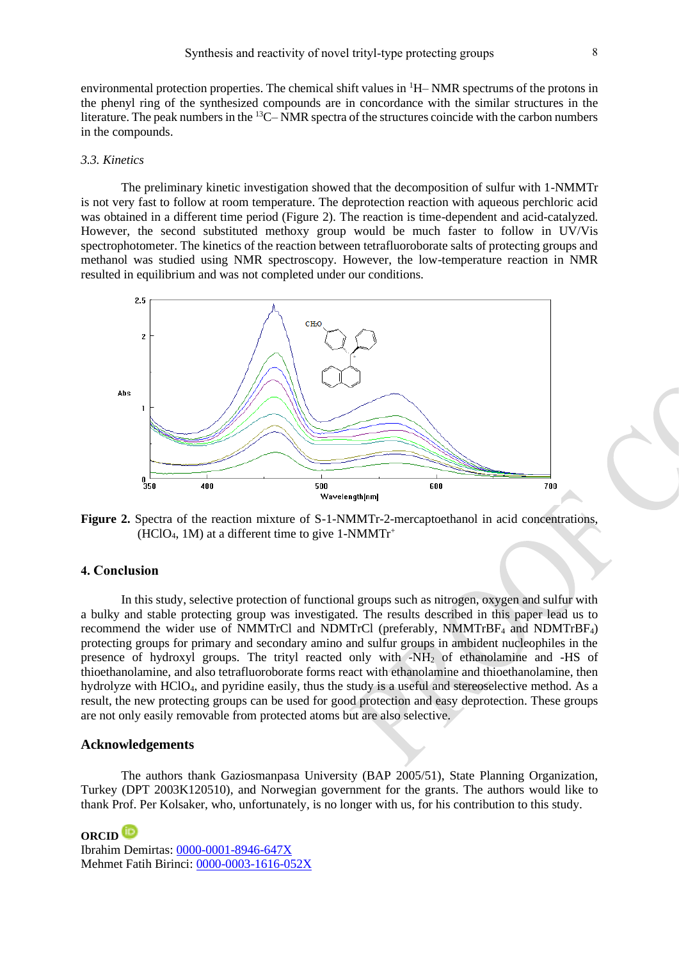environmental protection properties. The chemical shift values in <sup>1</sup>H– NMR spectrums of the protons in the phenyl ring of the synthesized compounds are in concordance with the similar structures in the literature. The peak numbers in the <sup>13</sup>C– NMR spectra of the structures coincide with the carbon numbers in the compounds.

#### *3.3. Kinetics*

The preliminary kinetic investigation showed that the decomposition of sulfur with 1-NMMTr is not very fast to follow at room temperature. The deprotection reaction with aqueous perchloric acid was obtained in a different time period (Figure 2). The reaction is time-dependent and acid-catalyzed. However, the second substituted methoxy group would be much faster to follow in UV/Vis spectrophotometer. The kinetics of the reaction between tetrafluoroborate salts of protecting groups and methanol was studied using NMR spectroscopy. However, the low-temperature reaction in NMR resulted in equilibrium and was not completed under our conditions.



**Figure 2.** Spectra of the reaction mixture of S-1-NMMTr-2-mercaptoethanol in acid concentrations,  $(HClO<sub>4</sub>, 1M)$  at a different time to give 1-NMMTr<sup>+</sup>

#### **4. Conclusion**

In this study, selective protection of functional groups such as nitrogen, oxygen and sulfur with a bulky and stable protecting group was investigated. The results described in this paper lead us to recommend the wider use of NMMTrCl and NDMTrCl (preferably, NMMTrBF<sup>4</sup> and NDMTrBF4) protecting groups for primary and secondary amino and sulfur groups in ambident nucleophiles in the presence of hydroxyl groups. The trityl reacted only with -NH<sup>2</sup> of ethanolamine and -HS of thioethanolamine, and also tetrafluoroborate forms react with ethanolamine and thioethanolamine, then hydrolyze with HClO4, and pyridine easily, thus the study is a useful and stereoselective method. As a result, the new protecting groups can be used for good protection and easy deprotection. These groups are not only easily removable from protected atoms but are also selective.

#### **Acknowledgements**

The authors thank Gaziosmanpasa University (BAP 2005/51), State Planning Organization, Turkey (DPT 2003K120510), and Norwegian government for the grants. The authors would like to thank Prof. Per Kolsaker, who, unfortunately, is no longer with us, for his contribution to this study.

**ORCID** Ibrahim Demirtas[: 0000-0001-8946-647X](https://orcid.org/0000-0001-8946-647X) Mehmet Fatih Birinci: [0000-0003-1616-052X](https://orcid.org/0000-0003-1616-052X)